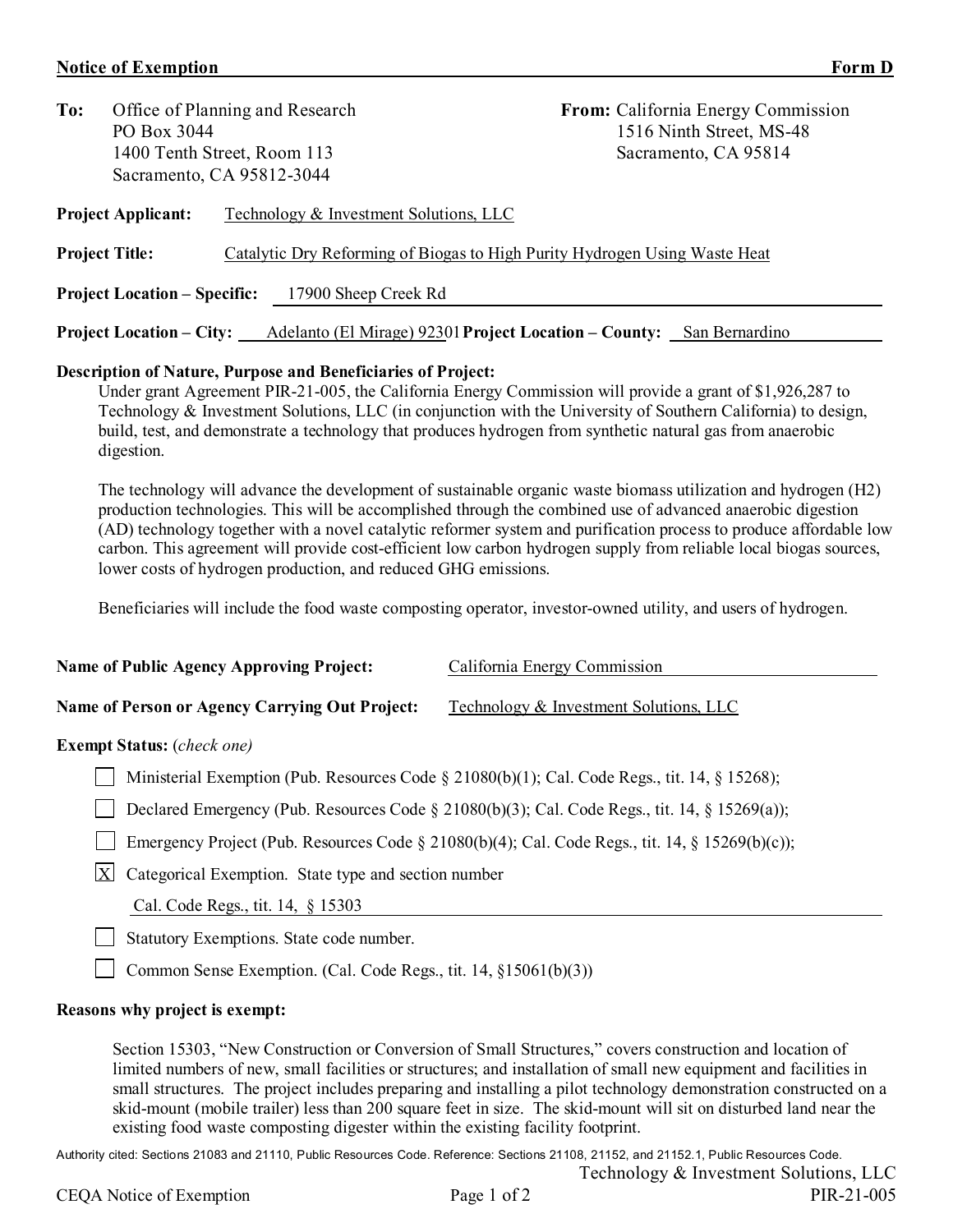## **Notice of Exemption**

| ı<br>н<br>× |  |
|-------------|--|
|-------------|--|

PIR-21-005

| To:<br>Office of Planning and Research                      |                                 |                                                                            | <b>From:</b> California Energy Commission<br>1516 Ninth Street, MS-48 |  |  |  |
|-------------------------------------------------------------|---------------------------------|----------------------------------------------------------------------------|-----------------------------------------------------------------------|--|--|--|
|                                                             | PO Box 3044                     |                                                                            |                                                                       |  |  |  |
| 1400 Tenth Street, Room 113                                 |                                 |                                                                            | Sacramento, CA 95814                                                  |  |  |  |
|                                                             | Sacramento, CA 95812-3044       |                                                                            |                                                                       |  |  |  |
|                                                             | <b>Project Applicant:</b>       | Technology & Investment Solutions, LLC                                     |                                                                       |  |  |  |
| <b>Project Title:</b>                                       |                                 | Catalytic Dry Reforming of Biogas to High Purity Hydrogen Using Waste Heat |                                                                       |  |  |  |
| <b>Project Location – Specific:</b><br>17900 Sheep Creek Rd |                                 |                                                                            |                                                                       |  |  |  |
|                                                             | <b>Project Location – City:</b> | Adelanto (El Mirage) 92301 Project Location – County: San Bernardino       |                                                                       |  |  |  |

## **Description of Nature, Purpose and Beneficiaries of Project:**

Under grant Agreement PIR-21-005, the California Energy Commission will provide a grant of \$1,926,287 to Technology & Investment Solutions, LLC (in conjunction with the University of Southern California) to design, build, test, and demonstrate a technology that produces hydrogen from synthetic natural gas from anaerobic digestion.

The technology will advance the development of sustainable organic waste biomass utilization and hydrogen (H2) production technologies. This will be accomplished through the combined use of advanced anaerobic digestion (AD) technology together with a novel catalytic reformer system and purification process to produce affordable low carbon. This agreement will provide cost-efficient low carbon hydrogen supply from reliable local biogas sources, lower costs of hydrogen production, and reduced GHG emissions.

Beneficiaries will include the food waste composting operator, investor-owned utility, and users of hydrogen.

| <b>Name of Public Agency Approving Project:</b>       | California Energy Commission           |  |  |
|-------------------------------------------------------|----------------------------------------|--|--|
|                                                       |                                        |  |  |
| <b>Name of Person or Agency Carrying Out Project:</b> | Technology & Investment Solutions, LLC |  |  |

## **Exempt Status:** (*check one)*

Ministerial Exemption (Pub. Resources Code § 21080(b)(1); Cal. Code Regs., tit. 14, § 15268);

Declared Emergency (Pub. Resources Code § 21080(b)(3); Cal. Code Regs., tit. 14, § 15269(a));

| Emergency Project (Pub. Resources Code $\S 21080(b)(4)$ ; Cal. Code Regs., tit. 14, $\S 15269(b)(c)$ ); |
|---------------------------------------------------------------------------------------------------------|
|---------------------------------------------------------------------------------------------------------|

 $\overline{X}$  Categorical Exemption. State type and section number

Cal. Code Regs., tit. 14, § 15303

Statutory Exemptions. State code number.

Common Sense Exemption. (Cal. Code Regs., tit. 14,  $\S15061(b)(3)$ )

## **Reasons why project is exempt:**

Section 15303, "New Construction or Conversion of Small Structures," covers construction and location of limited numbers of new, small facilities or structures; and installation of small new equipment and facilities in small structures. The project includes preparing and installing a pilot technology demonstration constructed on a skid-mount (mobile trailer) less than 200 square feet in size. The skid-mount will sit on disturbed land near the existing food waste composting digester within the existing facility footprint.

Authority cited: Sections 21083 and 21110, Public Resources Code. Reference: Sections 21108, 21152, and 21152.1, Public Resources Code. Technology & Investment Solutions, LLC